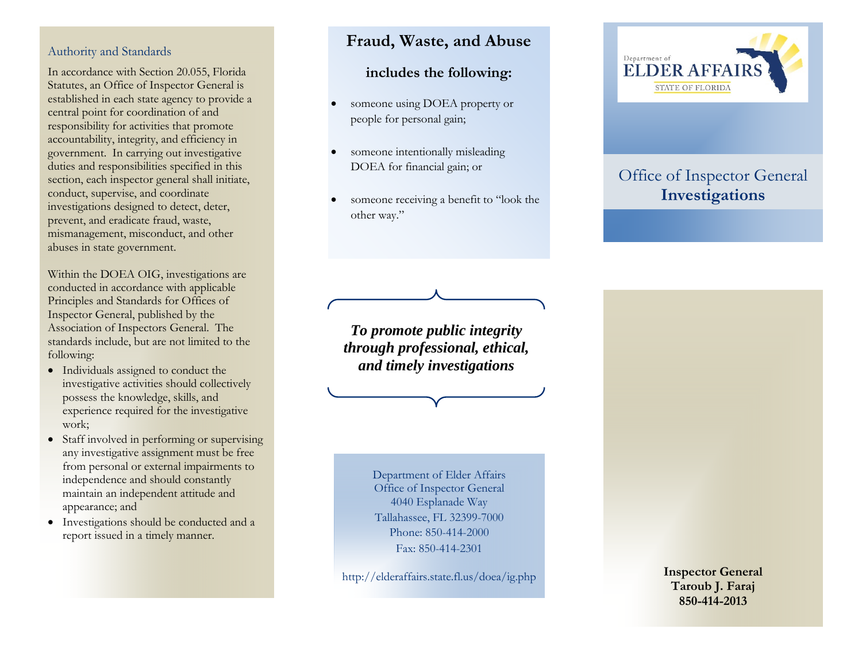#### Authority and Standards

In accordance with Section 20.055, Florida Statutes, an Office of Inspector General is established in each state agency to provide a central point for coordination of and responsibility for activities that promote accountability, integrity, and efficiency in government. In carrying out investigative duties and responsibilities specified in this section, each inspector general shall initiate, conduct, supervise, and coordinate investigations designed to detect, deter, prevent, and eradicate fraud , waste, mismanagement, misconduct, and other abuses in state government.

Within the DOEA OIG, investigations are conducted in accordance with applicable Principles and Standards for Offices of Inspector General, published by the Association of Inspectors General. The standards include, but are not limited to the following:

- Individuals assigned to conduct the investigative activities should collectively possess the knowledge, skills, and experience required for the investigative work;
- Staff involved in performing or supervising any investigative assignment must be free from personal or external impairments to independence and should constantly maintain an independent attitude and appearance; and
- Investigations should be conducted and a report issued in a timely manner.

# **Fraud, Waste , and Abuse**

## **includes the following :**

- someone using DOEA property or people for personal gain ;
- someone intentionally misleading DOEA for financial gain; or
- someone receiving a benefit to "look the other way."

*To promote public integrity through professional, ethical, and timely investigations*

> Department of Elder Affairs Office of Inspector General 4040 Esplanade Way Tallahassee, FL 32399 -7000 Phone: 850-414-2000 Fax: 850-414-2301

http://elderaffairs.state.fl.us/doea/ig.php



# Office of Inspector General **Investigations**

**Inspector General Taroub J. Faraj 850 -414 -2013**